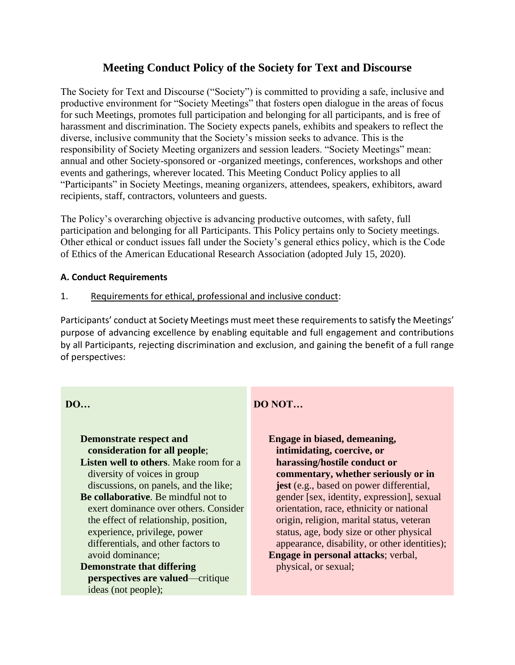# **Meeting Conduct Policy of the Society for Text and Discourse**

The Society for Text and Discourse ("Society") is committed to providing a safe, inclusive and productive environment for "Society Meetings" that fosters open dialogue in the areas of focus for such Meetings, promotes full participation and belonging for all participants, and is free of harassment and discrimination. The Society expects panels, exhibits and speakers to reflect the diverse, inclusive community that the Society's mission seeks to advance. This is the responsibility of Society Meeting organizers and session leaders. "Society Meetings" mean: annual and other Society-sponsored or -organized meetings, conferences, workshops and other events and gatherings, wherever located. This Meeting Conduct Policy applies to all "Participants" in Society Meetings, meaning organizers, attendees, speakers, exhibitors, award recipients, staff, contractors, volunteers and guests.

The Policy's overarching objective is advancing productive outcomes, with safety, full participation and belonging for all Participants. This Policy pertains only to Society meetings. Other ethical or conduct issues fall under the Society's general ethics policy, which is the Code of Ethics of the American Educational Research Association (adopted July 15, 2020).

### **A. Conduct Requirements**

### 1. Requirements for ethical, professional and inclusive conduct:

Participants' conduct at Society Meetings must meet these requirements to satisfy the Meetings' purpose of advancing excellence by enabling equitable and full engagement and contributions by all Participants, rejecting discrimination and exclusion, and gaining the benefit of a full range of perspectives:

### **DO…**

## **Demonstrate respect and consideration for all people**;

**Listen well to others**. Make room for a diversity of voices in group discussions, on panels, and the like;

- **Be collaborative**. Be mindful not to exert dominance over others. Consider the effect of relationship, position, experience, privilege, power differentials, and other factors to avoid dominance;
- **Demonstrate that differing perspectives are valued**—critique ideas (not people);

## **DO NOT…**

**Engage in biased, demeaning, intimidating, coercive, or harassing/hostile conduct or commentary, whether seriously or in jest** (e.g., based on power differential, gender [sex, identity, expression], sexual orientation, race, ethnicity or national origin, religion, marital status, veteran status, age, body size or other physical appearance, disability, or other identities); **Engage in personal attacks**; verbal, physical, or sexual;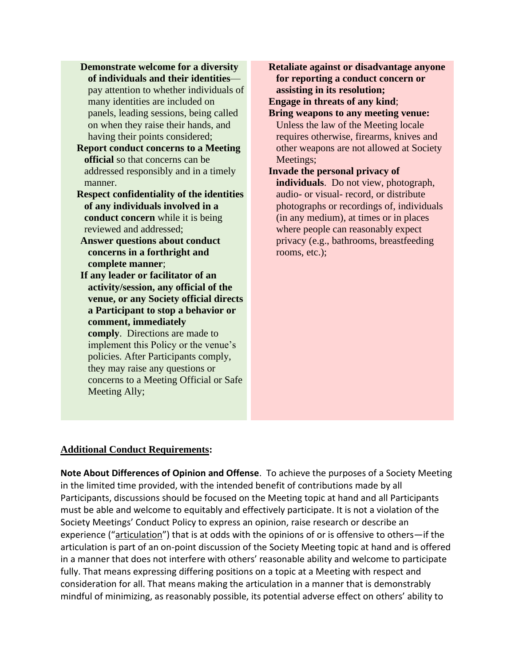- **Demonstrate welcome for a diversity of individuals and their identities** pay attention to whether individuals of many identities are included on panels, leading sessions, being called on when they raise their hands, and having their points considered;
- **Report conduct concerns to a Meeting official** so that concerns can be addressed responsibly and in a timely manner.
- **Respect confidentiality of the identities of any individuals involved in a conduct concern** while it is being reviewed and addressed;
- **Answer questions about conduct concerns in a forthright and complete manner**;
- **If any leader or facilitator of an activity/session, any official of the venue, or any Society official directs a Participant to stop a behavior or comment, immediately comply**. Directions are made to implement this Policy or the venue's policies. After Participants comply, they may raise any questions or concerns to a Meeting Official or Safe Meeting Ally;

**Retaliate against or disadvantage anyone for reporting a conduct concern or assisting in its resolution;**

**Engage in threats of any kind**;

- **Bring weapons to any meeting venue:**  Unless the law of the Meeting locale requires otherwise, firearms, knives and other weapons are not allowed at Society Meetings;
- **Invade the personal privacy of individuals**. Do not view, photograph, audio- or visual- record, or distribute photographs or recordings of, individuals (in any medium), at times or in places where people can reasonably expect privacy (e.g., bathrooms, breastfeeding rooms, etc.);

#### **Additional Conduct Requirements:**

**Note About Differences of Opinion and Offense**. To achieve the purposes of a Society Meeting in the limited time provided, with the intended benefit of contributions made by all Participants, discussions should be focused on the Meeting topic at hand and all Participants must be able and welcome to equitably and effectively participate. It is not a violation of the Society Meetings' Conduct Policy to express an opinion, raise research or describe an experience ("articulation") that is at odds with the opinions of or is offensive to others—if the articulation is part of an on-point discussion of the Society Meeting topic at hand and is offered in a manner that does not interfere with others' reasonable ability and welcome to participate fully. That means expressing differing positions on a topic at a Meeting with respect and consideration for all. That means making the articulation in a manner that is demonstrably mindful of minimizing, as reasonably possible, its potential adverse effect on others' ability to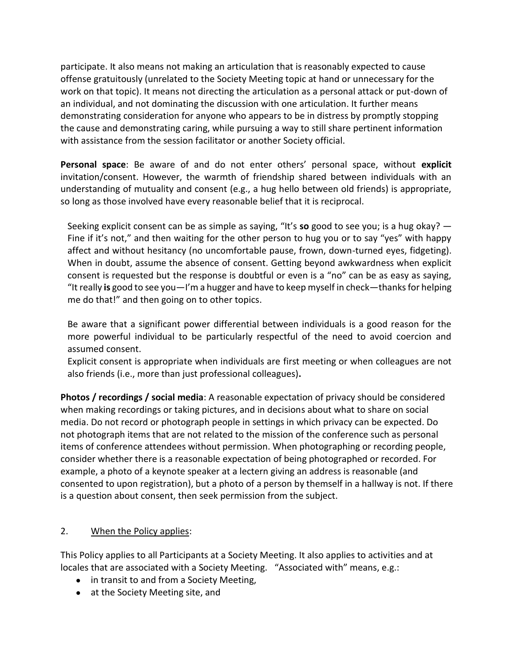participate. It also means not making an articulation that is reasonably expected to cause offense gratuitously (unrelated to the Society Meeting topic at hand or unnecessary for the work on that topic). It means not directing the articulation as a personal attack or put-down of an individual, and not dominating the discussion with one articulation. It further means demonstrating consideration for anyone who appears to be in distress by promptly stopping the cause and demonstrating caring, while pursuing a way to still share pertinent information with assistance from the session facilitator or another Society official.

**Personal space**: Be aware of and do not enter others' personal space, without **explicit**  invitation/consent. However, the warmth of friendship shared between individuals with an understanding of mutuality and consent (e.g., a hug hello between old friends) is appropriate, so long as those involved have every reasonable belief that it is reciprocal.

Seeking explicit consent can be as simple as saying, "It's **so** good to see you; is a hug okay? — Fine if it's not," and then waiting for the other person to hug you or to say "yes" with happy affect and without hesitancy (no uncomfortable pause, frown, down-turned eyes, fidgeting). When in doubt, assume the absence of consent. Getting beyond awkwardness when explicit consent is requested but the response is doubtful or even is a "no" can be as easy as saying, "It really **is** good to see you—I'm a hugger and have to keep myself in check—thanks for helping me do that!" and then going on to other topics.

Be aware that a significant power differential between individuals is a good reason for the more powerful individual to be particularly respectful of the need to avoid coercion and assumed consent.

Explicit consent is appropriate when individuals are first meeting or when colleagues are not also friends (i.e., more than just professional colleagues)**.**

**Photos / recordings / social media**: A reasonable expectation of privacy should be considered when making recordings or taking pictures, and in decisions about what to share on social media. Do not record or photograph people in settings in which privacy can be expected. Do not photograph items that are not related to the mission of the conference such as personal items of conference attendees without permission. When photographing or recording people, consider whether there is a reasonable expectation of being photographed or recorded. For example, a photo of a keynote speaker at a lectern giving an address is reasonable (and consented to upon registration), but a photo of a person by themself in a hallway is not. If there is a question about consent, then seek permission from the subject.

### 2. When the Policy applies:

This Policy applies to all Participants at a Society Meeting. It also applies to activities and at locales that are associated with a Society Meeting. "Associated with" means, e.g.:

- in transit to and from a Society Meeting,
- at the Society Meeting site, and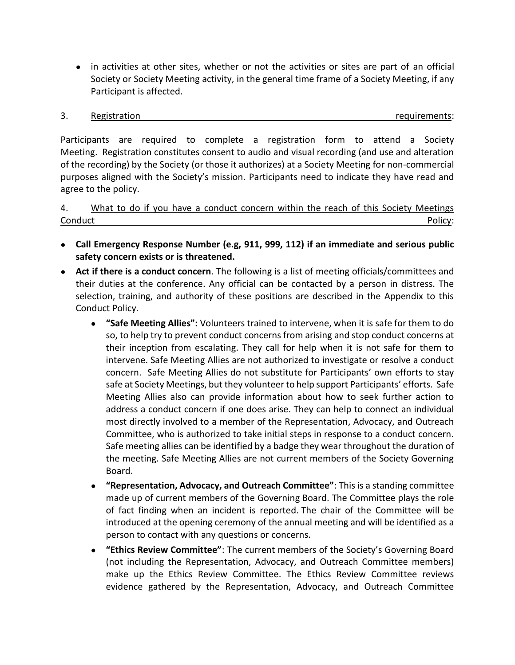● in activities at other sites, whether or not the activities or sites are part of an official Society or Society Meeting activity, in the general time frame of a Society Meeting, if any Participant is affected.

#### 3. Registration **Registration Registration Registration Registration Registration**

Participants are required to complete a registration form to attend a Society Meeting. Registration constitutes consent to audio and visual recording (and use and alteration of the recording) by the Society (or those it authorizes) at a Society Meeting for non-commercial purposes aligned with the Society's mission. Participants need to indicate they have read and agree to the policy.

4. What to do if you have a conduct concern within the reach of this Society Meetings Conduct Policy:

- **Call Emergency Response Number (e.g, 911, 999, 112) if an immediate and serious public safety concern exists or is threatened.**
- **Act if there is a conduct concern**. The following is a list of meeting officials/committees and their duties at the conference. Any official can be contacted by a person in distress. The selection, training, and authority of these positions are described in the Appendix to this Conduct Policy.
	- **"Safe Meeting Allies":** Volunteers trained to intervene, when it is safe for them to do so, to help try to prevent conduct concerns from arising and stop conduct concerns at their inception from escalating. They call for help when it is not safe for them to intervene. Safe Meeting Allies are not authorized to investigate or resolve a conduct concern. Safe Meeting Allies do not substitute for Participants' own efforts to stay safe at Society Meetings, but they volunteer to help support Participants' efforts. Safe Meeting Allies also can provide information about how to seek further action to address a conduct concern if one does arise. They can help to connect an individual most directly involved to a member of the Representation, Advocacy, and Outreach Committee, who is authorized to take initial steps in response to a conduct concern. Safe meeting allies can be identified by a badge they wear throughout the duration of the meeting. Safe Meeting Allies are not current members of the Society Governing Board.
	- **"Representation, Advocacy, and Outreach Committee"**: This is a standing committee made up of current members of the Governing Board. The Committee plays the role of fact finding when an incident is reported. The chair of the Committee will be introduced at the opening ceremony of the annual meeting and will be identified as a person to contact with any questions or concerns.
	- **"Ethics Review Committee"**: The current members of the Society's Governing Board (not including the Representation, Advocacy, and Outreach Committee members) make up the Ethics Review Committee. The Ethics Review Committee reviews evidence gathered by the Representation, Advocacy, and Outreach Committee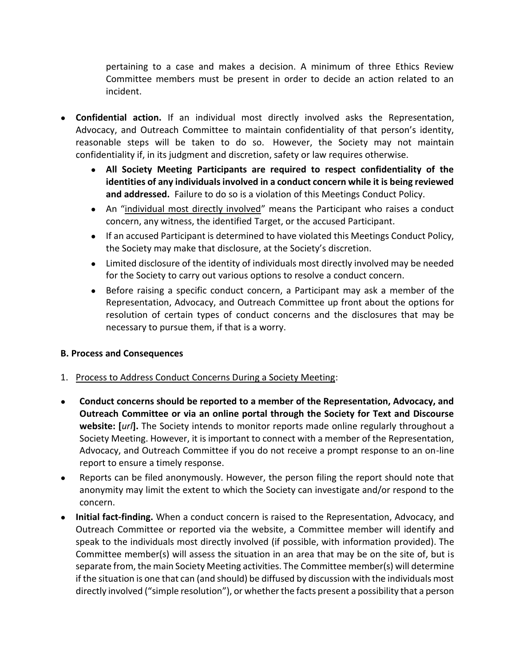pertaining to a case and makes a decision. A minimum of three Ethics Review Committee members must be present in order to decide an action related to an incident.

- **Confidential action.** If an individual most directly involved asks the Representation, Advocacy, and Outreach Committee to maintain confidentiality of that person's identity, reasonable steps will be taken to do so. However, the Society may not maintain confidentiality if, in its judgment and discretion, safety or law requires otherwise.
	- **All Society Meeting Participants are required to respect confidentiality of the identities of any individuals involved in a conduct concern while it is being reviewed and addressed.** Failure to do so is a violation of this Meetings Conduct Policy.
	- An "individual most directly involved" means the Participant who raises a conduct concern, any witness, the identified Target, or the accused Participant.
	- If an accused Participant is determined to have violated this Meetings Conduct Policy, the Society may make that disclosure, at the Society's discretion.
	- Limited disclosure of the identity of individuals most directly involved may be needed for the Society to carry out various options to resolve a conduct concern.
	- Before raising a specific conduct concern, a Participant may ask a member of the Representation, Advocacy, and Outreach Committee up front about the options for resolution of certain types of conduct concerns and the disclosures that may be necessary to pursue them, if that is a worry.

### **B. Process and Consequences**

- 1. Process to Address Conduct Concerns During a Society Meeting:
- **Conduct concerns should be reported to a member of the Representation, Advocacy, and Outreach Committee or via an online portal through the Society for Text and Discourse website: [***url***].** The Society intends to monitor reports made online regularly throughout a Society Meeting. However, it is important to connect with a member of the Representation, Advocacy, and Outreach Committee if you do not receive a prompt response to an on-line report to ensure a timely response.
- Reports can be filed anonymously. However, the person filing the report should note that anonymity may limit the extent to which the Society can investigate and/or respond to the concern.
- **Initial fact-finding.** When a conduct concern is raised to the Representation, Advocacy, and Outreach Committee or reported via the website, a Committee member will identify and speak to the individuals most directly involved (if possible, with information provided). The Committee member(s) will assess the situation in an area that may be on the site of, but is separate from, the main Society Meeting activities. The Committee member(s) will determine if the situation is one that can (and should) be diffused by discussion with the individuals most directly involved ("simple resolution"), or whether the facts present a possibility that a person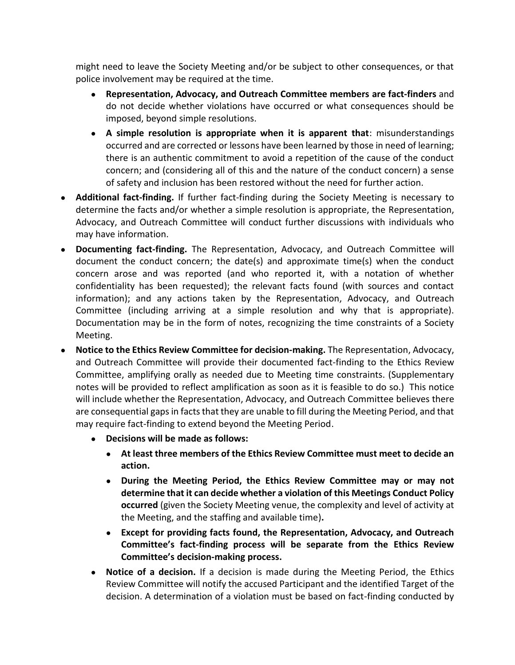might need to leave the Society Meeting and/or be subject to other consequences, or that police involvement may be required at the time.

- **Representation, Advocacy, and Outreach Committee members are fact-finders** and do not decide whether violations have occurred or what consequences should be imposed, beyond simple resolutions.
- **A simple resolution is appropriate when it is apparent that**: misunderstandings occurred and are corrected or lessons have been learned by those in need of learning; there is an authentic commitment to avoid a repetition of the cause of the conduct concern; and (considering all of this and the nature of the conduct concern) a sense of safety and inclusion has been restored without the need for further action.
- **Additional fact-finding.** If further fact-finding during the Society Meeting is necessary to determine the facts and/or whether a simple resolution is appropriate, the Representation, Advocacy, and Outreach Committee will conduct further discussions with individuals who may have information.
- **Documenting fact-finding.** The Representation, Advocacy, and Outreach Committee will document the conduct concern; the date(s) and approximate time(s) when the conduct concern arose and was reported (and who reported it, with a notation of whether confidentiality has been requested); the relevant facts found (with sources and contact information); and any actions taken by the Representation, Advocacy, and Outreach Committee (including arriving at a simple resolution and why that is appropriate). Documentation may be in the form of notes, recognizing the time constraints of a Society Meeting.
- **Notice to the Ethics Review Committee for decision-making.** The Representation, Advocacy, and Outreach Committee will provide their documented fact-finding to the Ethics Review Committee, amplifying orally as needed due to Meeting time constraints. (Supplementary notes will be provided to reflect amplification as soon as it is feasible to do so.) This notice will include whether the Representation, Advocacy, and Outreach Committee believes there are consequential gaps in facts that they are unable to fill during the Meeting Period, and that may require fact-finding to extend beyond the Meeting Period.
	- **Decisions will be made as follows:**
		- **At least three members of the Ethics Review Committee must meet to decide an action.**
		- **During the Meeting Period, the Ethics Review Committee may or may not determine that it can decide whether a violation of this Meetings Conduct Policy occurred** (given the Society Meeting venue, the complexity and level of activity at the Meeting, and the staffing and available time)**.**
		- **Except for providing facts found, the Representation, Advocacy, and Outreach Committee's fact-finding process will be separate from the Ethics Review Committee's decision-making process.**
	- **Notice of a decision.** If a decision is made during the Meeting Period, the Ethics Review Committee will notify the accused Participant and the identified Target of the decision. A determination of a violation must be based on fact-finding conducted by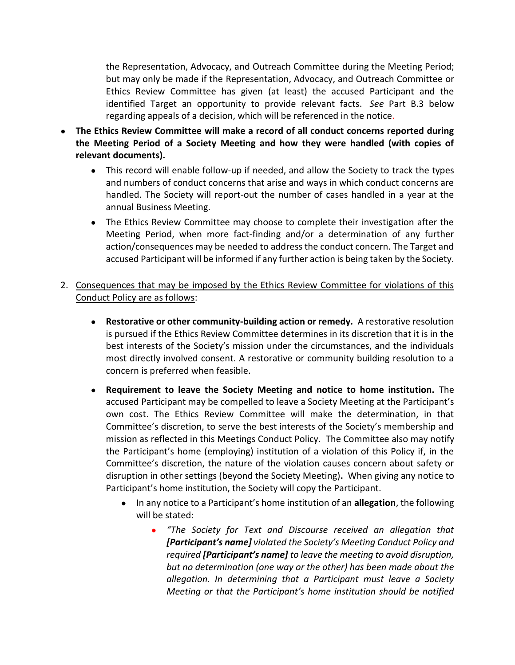the Representation, Advocacy, and Outreach Committee during the Meeting Period; but may only be made if the Representation, Advocacy, and Outreach Committee or Ethics Review Committee has given (at least) the accused Participant and the identified Target an opportunity to provide relevant facts. *See* Part B.3 below regarding appeals of a decision, which will be referenced in the notice.

- **The Ethics Review Committee will make a record of all conduct concerns reported during the Meeting Period of a Society Meeting and how they were handled (with copies of relevant documents).**
	- This record will enable follow-up if needed, and allow the Society to track the types and numbers of conduct concerns that arise and ways in which conduct concerns are handled. The Society will report-out the number of cases handled in a year at the annual Business Meeting.
	- The Ethics Review Committee may choose to complete their investigation after the Meeting Period, when more fact-finding and/or a determination of any further action/consequences may be needed to address the conduct concern. The Target and accused Participant will be informed if any further action is being taken by the Society.
- 2. Consequences that may be imposed by the Ethics Review Committee for violations of this Conduct Policy are as follows:
	- **Restorative or other community-building action or remedy.** A restorative resolution is pursued if the Ethics Review Committee determines in its discretion that it is in the best interests of the Society's mission under the circumstances, and the individuals most directly involved consent. A restorative or community building resolution to a concern is preferred when feasible.
	- **Requirement to leave the Society Meeting and notice to home institution.** The accused Participant may be compelled to leave a Society Meeting at the Participant's own cost. The Ethics Review Committee will make the determination, in that Committee's discretion, to serve the best interests of the Society's membership and mission as reflected in this Meetings Conduct Policy. The Committee also may notify the Participant's home (employing) institution of a violation of this Policy if, in the Committee's discretion, the nature of the violation causes concern about safety or disruption in other settings (beyond the Society Meeting)**.** When giving any notice to Participant's home institution, the Society will copy the Participant.
		- In any notice to a Participant's home institution of an **allegation**, the following will be stated:
			- *"The Society for Text and Discourse received an allegation that [Participant's name] violated the Society's Meeting Conduct Policy and required [Participant's name] to leave the meeting to avoid disruption, but no determination (one way or the other) has been made about the allegation. In determining that a Participant must leave a Society Meeting or that the Participant's home institution should be notified*